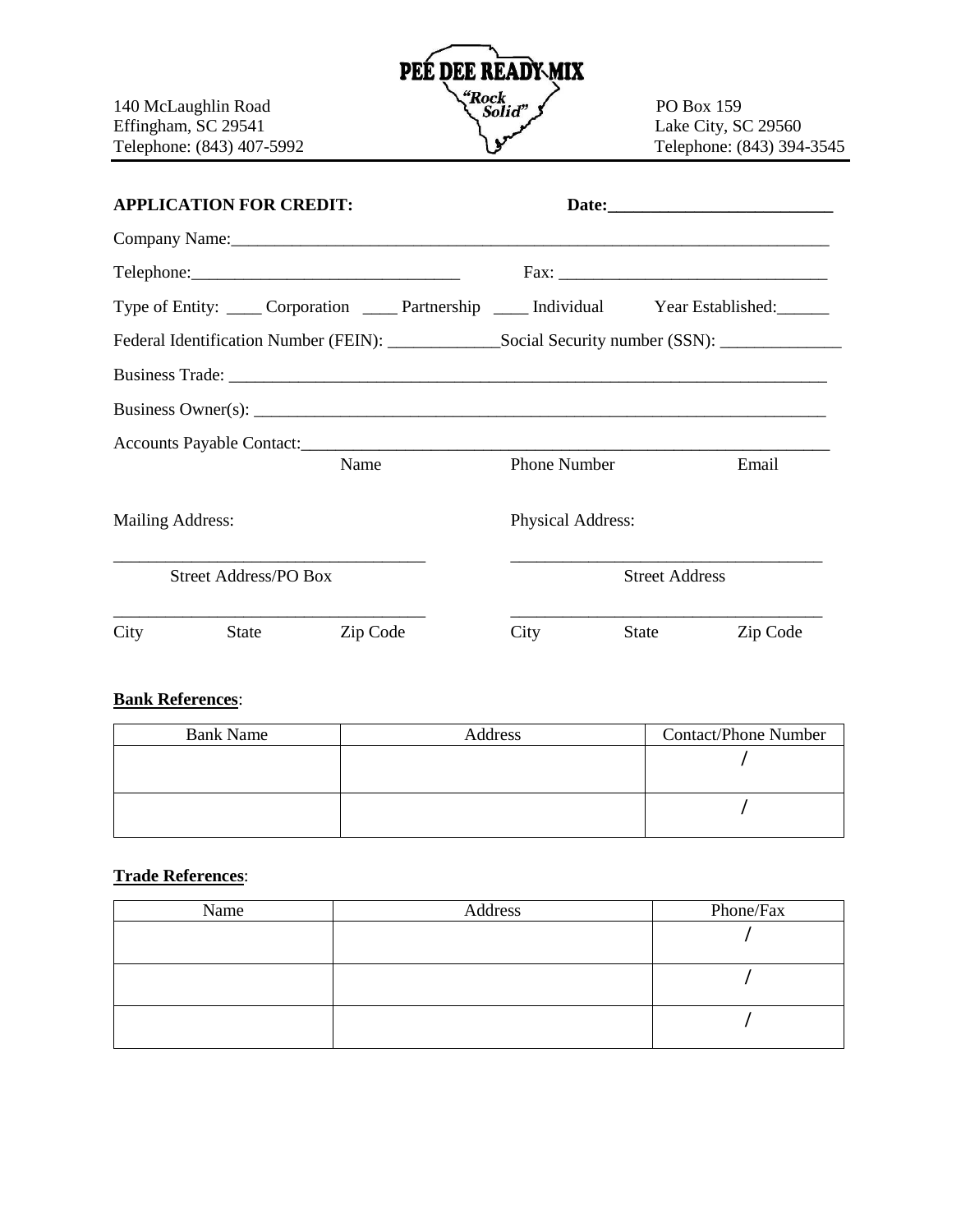

| <b>APPLICATION FOR CREDIT:</b>                                                                       |                                                                                  |          |  |                          |       |          |
|------------------------------------------------------------------------------------------------------|----------------------------------------------------------------------------------|----------|--|--------------------------|-------|----------|
|                                                                                                      |                                                                                  |          |  |                          |       |          |
|                                                                                                      |                                                                                  |          |  |                          |       | Fax:     |
|                                                                                                      | Type of Entity: Corporation Corporation Partnership Contained: Year Established: |          |  |                          |       |          |
| Federal Identification Number (FEIN): _________________Social Security number (SSN): _______________ |                                                                                  |          |  |                          |       |          |
|                                                                                                      |                                                                                  |          |  |                          |       |          |
|                                                                                                      |                                                                                  |          |  |                          |       |          |
|                                                                                                      |                                                                                  |          |  |                          |       |          |
|                                                                                                      |                                                                                  | Name     |  | <b>Phone Number</b>      |       | Email    |
| Mailing Address:                                                                                     |                                                                                  |          |  | <b>Physical Address:</b> |       |          |
| <b>Street Address/PO Box</b>                                                                         |                                                                                  |          |  | <b>Street Address</b>    |       |          |
| City                                                                                                 | State                                                                            | Zip Code |  | City                     | State | Zip Code |
|                                                                                                      |                                                                                  |          |  |                          |       |          |

## **Bank References**:

| <b>Bank Name</b> | Address | <b>Contact/Phone Number</b> |
|------------------|---------|-----------------------------|
|                  |         |                             |
|                  |         |                             |
|                  |         |                             |
|                  |         |                             |

## **Trade References**:

| Name | Address | Phone/Fax |
|------|---------|-----------|
|      |         |           |
|      |         |           |
|      |         |           |
|      |         |           |
|      |         |           |
|      |         |           |